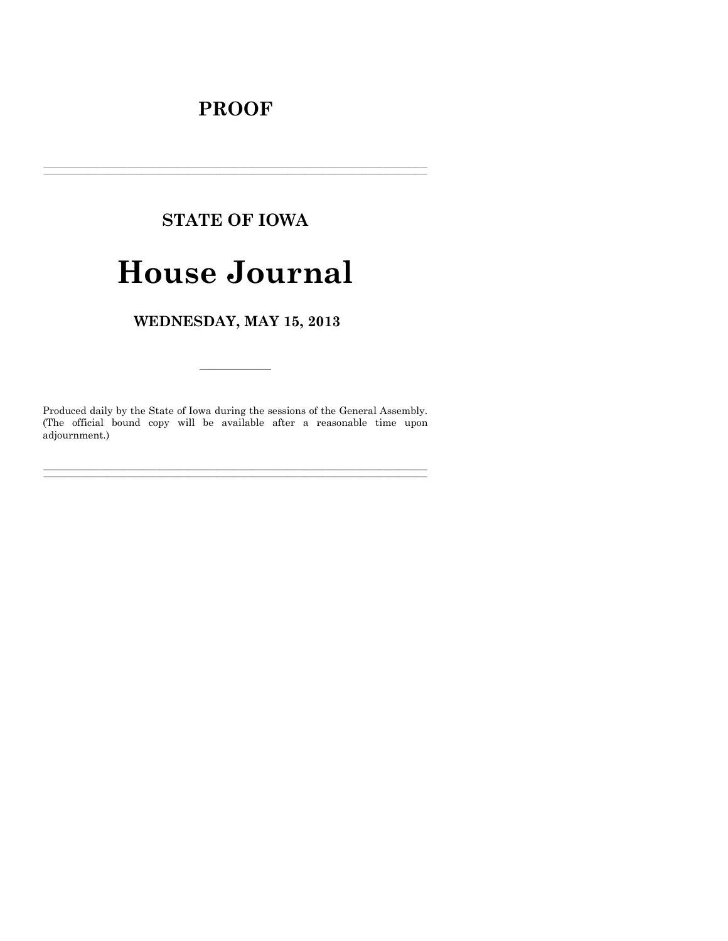# **PROOF**

# **STATE OF IOWA**

# **House Journal**

WEDNESDAY, MAY 15, 2013

Produced daily by the State of Iowa during the sessions of the General Assembly. (The official bound copy will be available after a reasonable time upon adjournment.)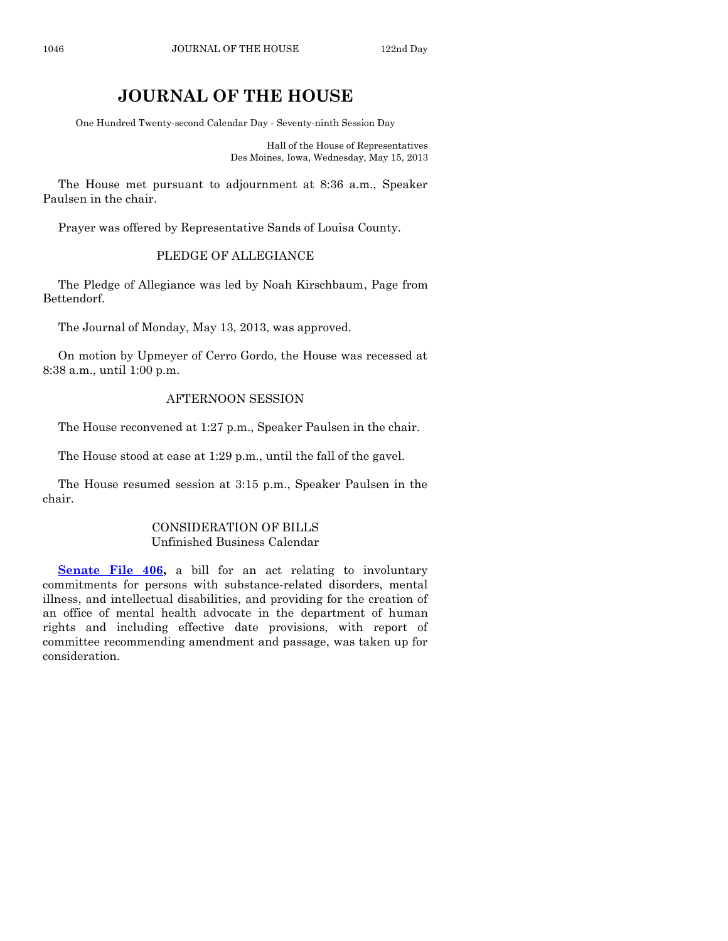# **JOURNAL OF THE HOUSE**

One Hundred Twenty-second Calendar Day - Seventy-ninth Session Day

Hall of the House of Representatives Des Moines, Iowa, Wednesday, May 15, 2013

The House met pursuant to adjournment at 8:36 a.m., Speaker Paulsen in the chair.

Prayer was offered by Representative Sands of Louisa County.

# PLEDGE OF ALLEGIANCE

The Pledge of Allegiance was led by Noah Kirschbaum, Page from Bettendorf.

The Journal of Monday, May 13, 2013, was approved.

On motion by Upmeyer of Cerro Gordo, the House was recessed at 8:38 a.m., until 1:00 p.m.

#### AFTERNOON SESSION

The House reconvened at 1:27 p.m., Speaker Paulsen in the chair.

The House stood at ease at 1:29 p.m., until the fall of the gavel.

The House resumed session at 3:15 p.m., Speaker Paulsen in the chair.

#### CONSIDERATION OF BILLS Unfinished Business Calendar

**[Senate File 406,](http://coolice.legis.state.ia.us/Cool-ICE/default.asp?Category=billinfo&Service=Billbook&frame=1&GA=85&hbill=SF406)** a bill for an act relating to involuntary commitments for persons with substance-related disorders, mental illness, and intellectual disabilities, and providing for the creation of an office of mental health advocate in the department of human rights and including effective date provisions, with report of committee recommending amendment and passage, was taken up for consideration.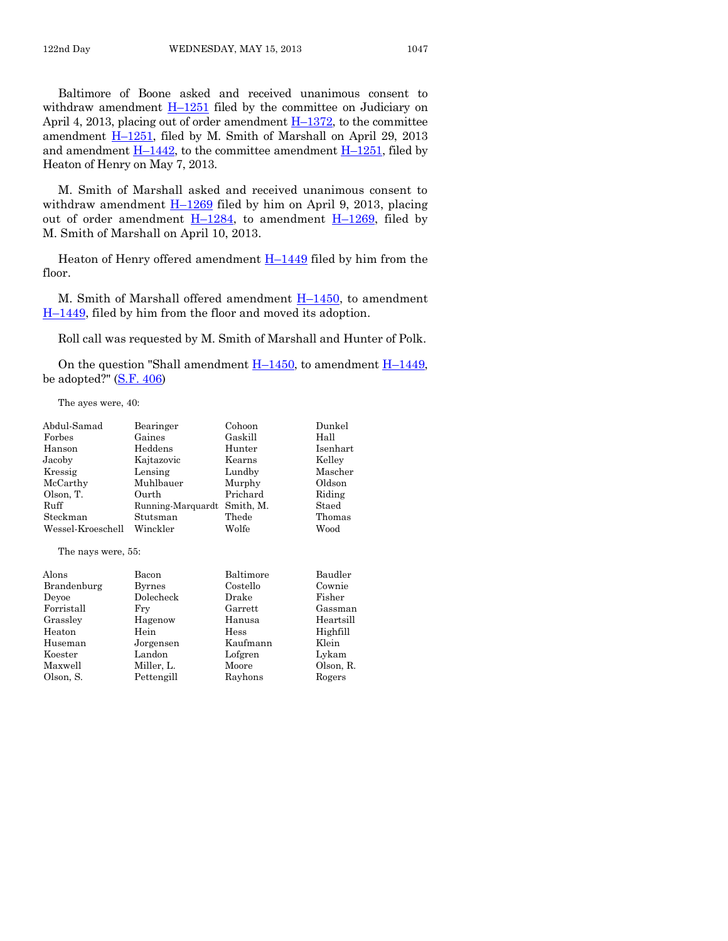Baltimore of Boone asked and received unanimous consent to withdraw amendment  $\underline{H-1251}$  $\underline{H-1251}$  $\underline{H-1251}$  filed by the committee on Judiciary on April 4, 2013, placing out of order amendment  $H-1372$ , to the committee amendment H–[1251,](http://coolice.legis.state.ia.us/Cool-ICE/default.asp?Category=billinfo&Service=Billbook&frame=1&GA=85&hbill=H1251) filed by M. Smith of Marshall on April 29, 2013 and amendment  $H-1442$ , to the committee amendment  $H-1251$ , filed by Heaton of Henry on May 7, 2013.

M. Smith of Marshall asked and received unanimous consent to withdraw amendment  $H-1269$  $H-1269$  filed by him on April 9, 2013, placing out of order amendment  $H-1284$ , to amendment  $H-1269$ , filed by M. Smith of Marshall on April 10, 2013.

Heaton of Henry offered amendment  $H-1449$  $H-1449$  filed by him from the floor.

M. Smith of Marshall offered amendment  $H-1450$ , to amendment  $H-1449$ , filed by him from the floor and moved its adoption.

Roll call was requested by M. Smith of Marshall and Hunter of Polk.

On the question "Shall amendment  $H-1450$ , to amendment  $H-1449$ , be adopted?"  $(S.F. 406)$ 

The ayes were, 40:

| Abdul-Samad        | Bearinger         | Cohoon    | Dunkel   |
|--------------------|-------------------|-----------|----------|
| Forbes             | Gaines            | Gaskill   | Hall     |
| Hanson             | Heddens           | Hunter    | Isenhart |
| Jacoby             | Kajtazovic        | Kearns    | Kelley   |
| Kressig            | Lensing           | Lundby    | Mascher  |
| McCarthy           | Muhlbauer         | Murphy    | Oldson   |
| Olson, T.          | Ourth             | Prichard  | Riding   |
| Ruff               | Running-Marquardt | Smith, M. | Staed    |
| Steckman           | Stutsman          | Thede     | Thomas   |
| Wessel-Kroeschell  | Winckler          | Wolfe     | Wood     |
| The nays were, 55: |                   |           |          |
| Alons              | Bacon             | Baltimore | Baudler  |
| Brandenburg        | Byrnes            | Costello  | Cownie   |
| Deyoe              | Dolecheck         | Drake     | Fisher   |

| pramuemourg | Dyrites    | COSTELIO | COWILLE   |
|-------------|------------|----------|-----------|
| Deyoe       | Dolecheck  | Drake    | Fisher    |
| Forristall  | Frv        | Garrett  | Gassman   |
| Grasslev    | Hagenow    | Hanusa   | Heartsill |
| Heaton      | Hein       | Hess     | Highfill  |
| Huseman     | Jorgensen  | Kaufmann | Klein     |
| Koester     | Landon     | Lofgren  | Lykam     |
| Maxwell     | Miller, L. | Moore    | Olson, R. |
| Olson, S.   | Pettengill | Rayhons  | Rogers    |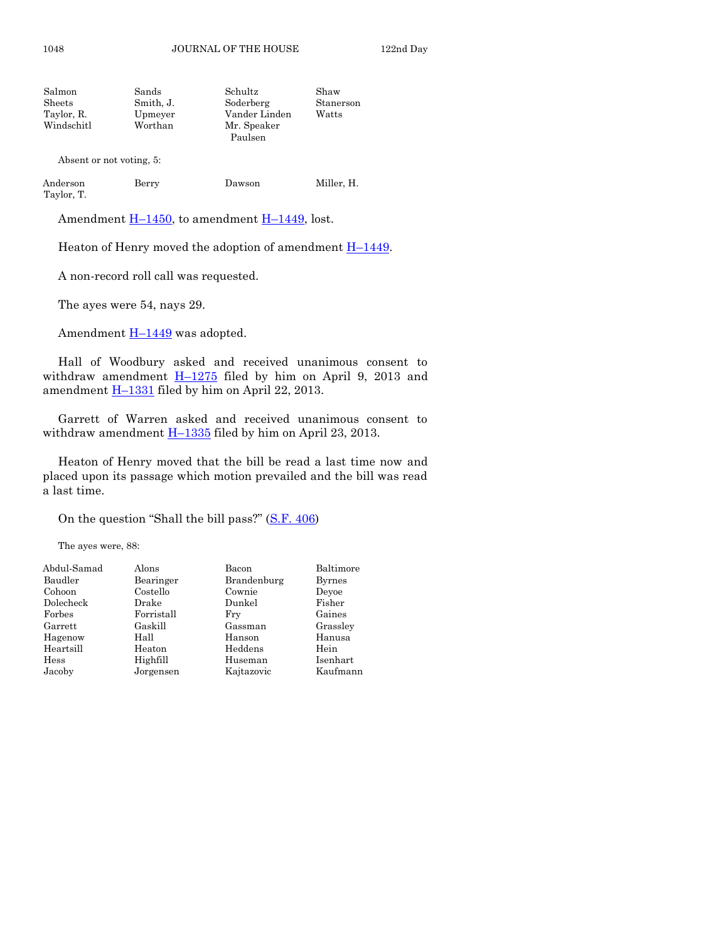| Salmon     | Sands     | Schultz       | Shaw      |
|------------|-----------|---------------|-----------|
| Sheets     | Smith, J. | Soderberg     | Stanerson |
| Taylor, R. | Upmeyer   | Vander Linden | Watts     |
| Windschitl | Worthan   | Mr. Speaker   |           |
|            |           | Paulsen       |           |
|            |           |               |           |

Absent or not voting, 5:

| Anderson   | Berry | Dawson | Miller, H. |
|------------|-------|--------|------------|
| Taylor, T. |       |        |            |

Amendment  $H-1450$ , to amendment  $H-1449$ , lost.

Heaton of Henry moved the adoption of amendment  $H-1449$ .

A non-record roll call was requested.

The ayes were 54, nays 29.

Amendment  $H-1449$  $H-1449$  was adopted.

Hall of Woodbury asked and received unanimous consent to withdraw amendment  $H-1275$  $H-1275$  filed by him on April 9, 2013 and amendment **H**-[1331](http://coolice.legis.state.ia.us/Cool-ICE/default.asp?Category=billinfo&Service=Billbook&frame=1&GA=85&hbill=H1331) filed by him on April 22, 2013.

Garrett of Warren asked and received unanimous consent to withdraw amendment  $H-1335$  $H-1335$  filed by him on April 23, 2013.

Heaton of Henry moved that the bill be read a last time now and placed upon its passage which motion prevailed and the bill was read a last time.

On the question "Shall the bill pass?" ([S.F. 406\)](http://coolice.legis.state.ia.us/Cool-ICE/default.asp?Category=billinfo&Service=Billbook&frame=1&GA=85&hbill=SF406)

The ayes were, 88:

| Abdul-Samad | Alons      | Bacon       | Baltimore     |
|-------------|------------|-------------|---------------|
| Baudler     | Bearinger  | Brandenburg | <b>Byrnes</b> |
| Cohoon      | Costello   | Cownie      | Devoe         |
| Dolecheck   | Drake      | Dunkel      | Fisher        |
| Forbes      | Forristall | Frv         | Gaines        |
| Garrett     | Gaskill    | Gassman     | Grassley      |
| Hagenow     | Hall       | Hanson      | Hanusa        |
| Heartsill   | Heaton     | Heddens     | Hein          |
| Hess        | Highfill   | Huseman     | Isenhart      |
| Jacoby      | Jorgensen  | Kajtazovic  | Kaufmann      |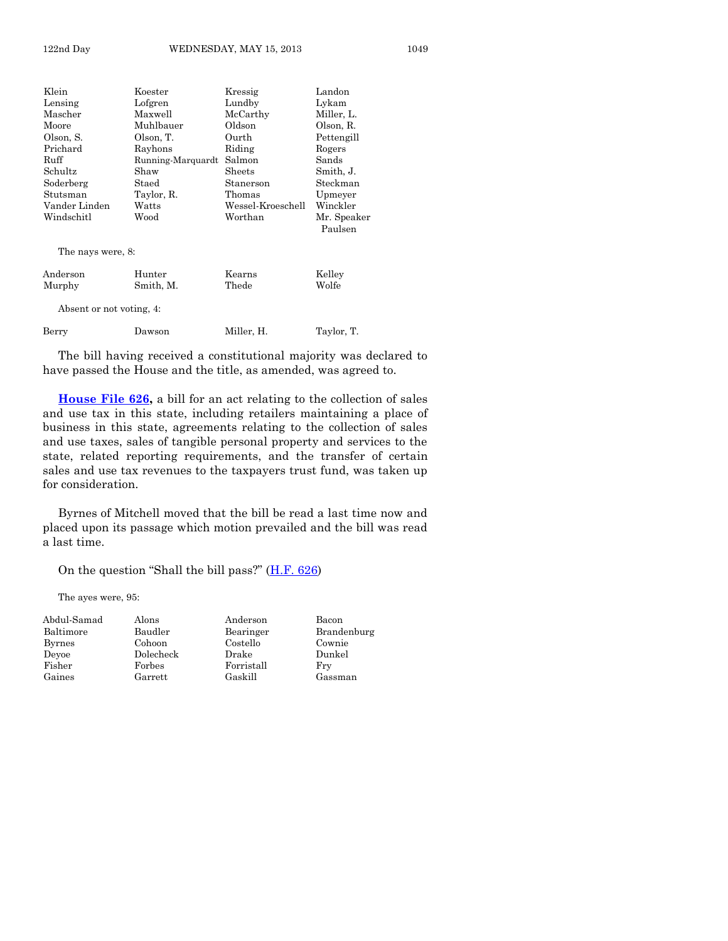Klein Koester Kressig Landon Lensing Lofgren Lundby Lykam<br>Mascher Maxwell McCarthy Miller, L. McCarthy Moore Muhlbauer Oldson Olson, R. Olson, S. Olson, T. Ourth Pettengill Prichard Rayhons Riding Rogers Ruff Running-Marquardt Salmon Sands Schultz Shaw Sheets Smith, J.<br>Soderberg Staed Stanerson Steekmar Staed Stanerson Steckman Stutsman Taylor, R. Thomas Upmeyer Vander Linden Watts Wessel-Kroeschell Winckler Windschitl Wood Worthan Mr. Speaker Paulsen The nays were, 8:

Anderson Hunter Kearns Kelley Murphy Smith, M. Thede Wolfe Absent or not voting, 4: Berry Dawson Miller, H. Taylor, T.

The bill having received a constitutional majority was declared to have passed the House and the title, as amended, was agreed to.

**[House File 626,](http://coolice.legis.state.ia.us/Cool-ICE/default.asp?Category=billinfo&Service=Billbook&frame=1&GA=85&hbill=HF626)** a bill for an act relating to the collection of sales and use tax in this state, including retailers maintaining a place of business in this state, agreements relating to the collection of sales and use taxes, sales of tangible personal property and services to the state, related reporting requirements, and the transfer of certain sales and use tax revenues to the taxpayers trust fund, was taken up for consideration.

Byrnes of Mitchell moved that the bill be read a last time now and placed upon its passage which motion prevailed and the bill was read a last time.

On the question "Shall the bill pass?"  $(H.F. 626)$  $(H.F. 626)$ 

The ayes were, 95:

| Abdul-Samad | Alons     | Anderson   | Bacon       |
|-------------|-----------|------------|-------------|
| Baltimore   | Baudler   | Bearinger  | Brandenburg |
| Byrnes      | Cohoon    | Costello   | Cownie      |
| Devoe       | Dolecheck | Drake      | Dunkel      |
| Fisher      | Forbes    | Forristall | Fry         |
| Gaines      | Garrett   | Gaskill    | Gassman     |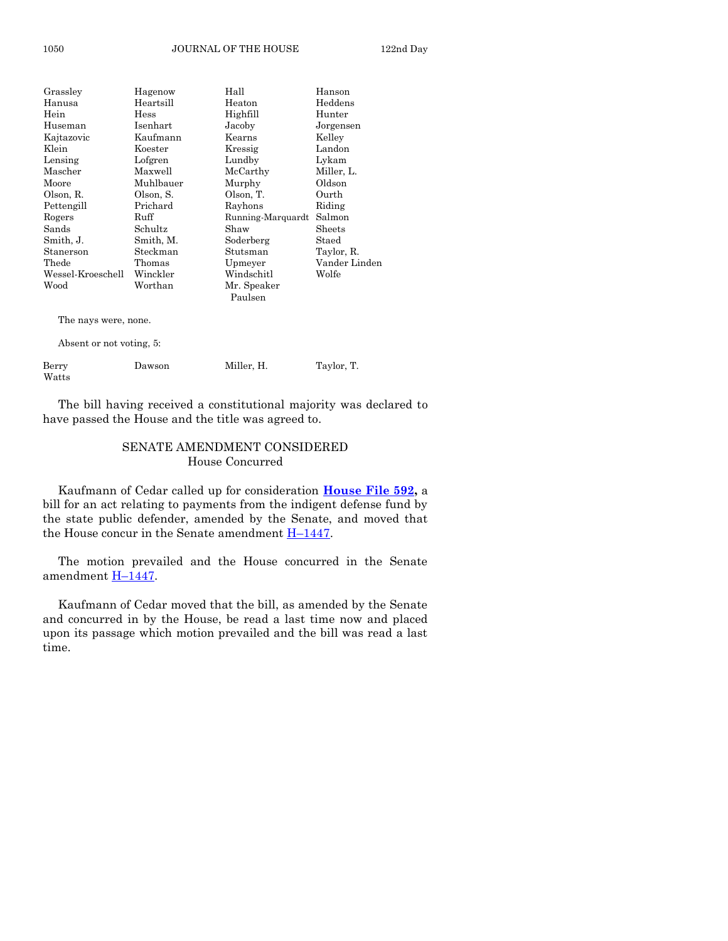| Grassley                 | Hagenow   | Hall              | Hanson        |
|--------------------------|-----------|-------------------|---------------|
| Hanusa                   | Heartsill | Heaton            | Heddens       |
| Hein                     | Hess      | Highfill          | Hunter        |
| Huseman                  | Isenhart  | Jacoby            | Jorgensen     |
| Kajtazovic               | Kaufmann  | Kearns            | Kelley        |
| Klein                    | Koester   | Kressig           | Landon        |
| Lensing                  | Lofgren   | Lundby            | Lykam         |
| Mascher                  | Maxwell   | McCarthy          | Miller, L.    |
| Moore                    | Muhlbauer | Murphy            | Oldson        |
| Olson, R.                | Olson, S. | Olson, T.         | Ourth         |
| Pettengill               | Prichard  | Rayhons           | Riding        |
| Rogers                   | Ruff      | Running-Marquardt | Salmon        |
| Sands                    | Schultz   | Shaw              | Sheets        |
| Smith, J.                | Smith, M. | Soderberg         | Staed         |
| Stanerson                | Steckman  | Stutsman          | Taylor, R.    |
| Thede                    | Thomas    | Upmeyer           | Vander Linden |
| Wessel-Kroeschell        | Winckler  | Windschitl        | Wolfe         |
| Wood                     | Worthan   | Mr. Speaker       |               |
|                          |           | Paulsen           |               |
| The nays were, none.     |           |                   |               |
| Absent or not voting, 5: |           |                   |               |
| Berry<br>Watts           | Dawson    | Miller, H.        | Taylor, T.    |

The bill having received a constitutional majority was declared to have passed the House and the title was agreed to.

#### SENATE AMENDMENT CONSIDERED House Concurred

Kaufmann of Cedar called up for consideration **[House File 592,](http://coolice.legis.state.ia.us/Cool-ICE/default.asp?Category=billinfo&Service=Billbook&frame=1&GA=85&hbill=HF592)** a bill for an act relating to payments from the indigent defense fund by the state public defender, amended by the Senate, and moved that the House concur in the Senate amendment  $H-1447$ .

The motion prevailed and the House concurred in the Senate amendment H–[1447.](http://coolice.legis.state.ia.us/Cool-ICE/default.asp?Category=billinfo&Service=Billbook&frame=1&GA=85&hbill=H1447)

Kaufmann of Cedar moved that the bill, as amended by the Senate and concurred in by the House, be read a last time now and placed upon its passage which motion prevailed and the bill was read a last time.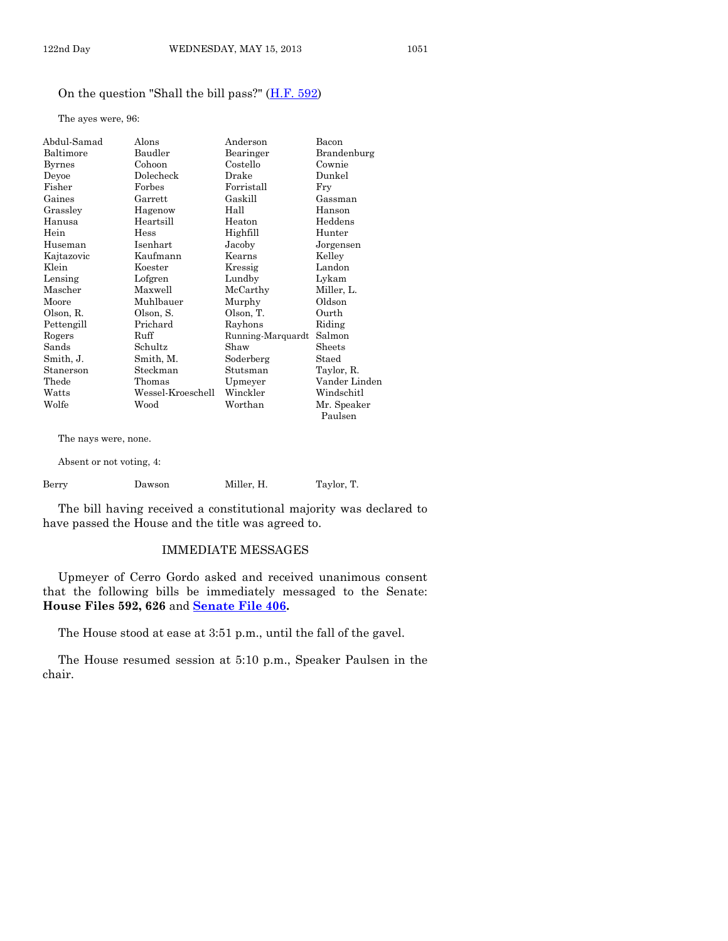#### On the question "Shall the bill pass?" [\(H.F. 592\)](http://coolice.legis.state.ia.us/Cool-ICE/default.asp?Category=billinfo&Service=Billbook&frame=1&GA=85&hbill=HF592)

The ayes were, 96:

| Abdul-Samad   | Alons             | Anderson          | Bacon         |
|---------------|-------------------|-------------------|---------------|
| Baltimore     | Baudler           | Bearinger         | Brandenburg   |
| <b>Byrnes</b> | Cohoon            | Costello          | Cownie        |
| Deyoe         | Dolecheck         | Drake             | Dunkel        |
| Fisher        | Forbes            | Forristall        | Fry           |
| Gaines        | Garrett           | Gaskill           | Gassman       |
| Grassley      | Hagenow           | Hall              | Hanson        |
| Hanusa        | Heartsill         | Heaton            | Heddens       |
| Hein          | Hess              | Highfill          | Hunter        |
| Huseman       | Isenhart          | Jacoby            | Jorgensen     |
| Kajtazovic    | Kaufmann          | Kearns            | Kelley        |
| Klein         | Koester           | Kressig           | Landon        |
| Lensing       | Lofgren           | Lundby            | Lykam         |
| Mascher       | Maxwell           | McCarthy          | Miller, L.    |
| Moore         | Muhlbauer         | Murphy            | Oldson        |
| Olson, R.     | Olson, S.         | Olson, T.         | Ourth         |
| Pettengill    | Prichard          | Rayhons           | Riding        |
| Rogers        | Ruff              | Running-Marquardt | Salmon        |
| Sands         | Schultz           | Shaw              | Sheets        |
| Smith, J.     | Smith, M.         | Soderberg         | Staed         |
| Stanerson     | Steckman          | Stutsman          | Taylor, R.    |
| Thede         | Thomas            | Upmeyer           | Vander Linden |
| Watts         | Wessel-Kroeschell | Winckler          | Windschitl    |
| Wolfe         | Wood              | Worthan           | Mr. Speaker   |
|               |                   |                   | Paulsen       |

The nays were, none.

Absent or not voting, 4:

| Berry | Dawson | Miller. H. | Taylor, T. |
|-------|--------|------------|------------|
|       |        |            |            |

The bill having received a constitutional majority was declared to have passed the House and the title was agreed to.

# IMMEDIATE MESSAGES

Upmeyer of Cerro Gordo asked and received unanimous consent that the following bills be immediately messaged to the Senate: **House Files 592, 626** and **[Senate File 406.](http://coolice.legis.state.ia.us/Cool-ICE/default.asp?Category=billinfo&Service=Billbook&frame=1&GA=85&hbill=SF406)**

The House stood at ease at 3:51 p.m., until the fall of the gavel.

The House resumed session at 5:10 p.m., Speaker Paulsen in the chair.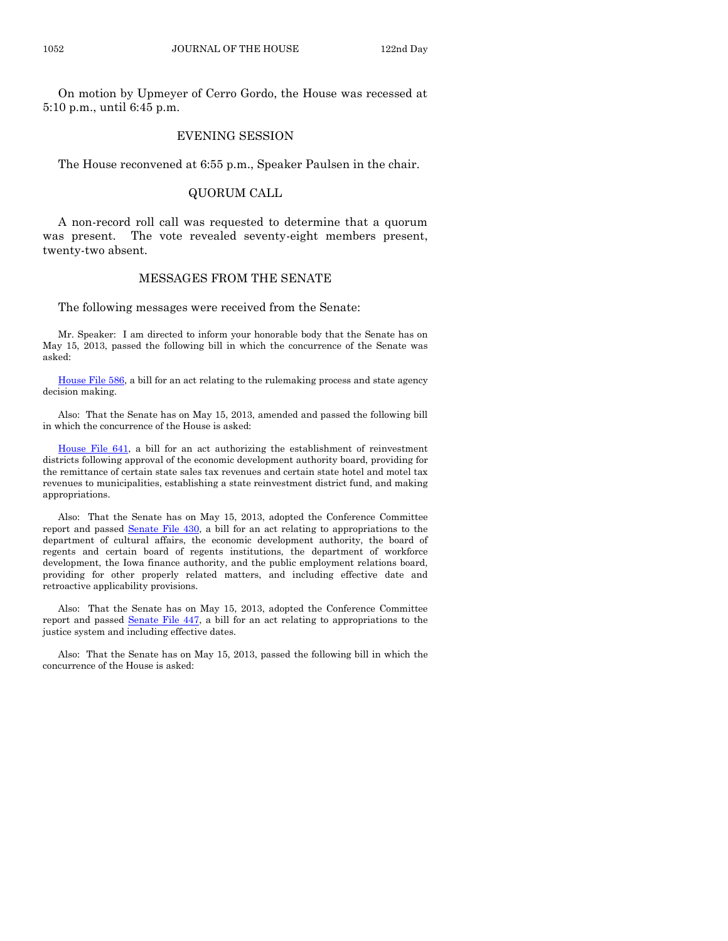On motion by Upmeyer of Cerro Gordo, the House was recessed at 5:10 p.m., until 6:45 p.m.

#### EVENING SESSION

The House reconvened at 6:55 p.m., Speaker Paulsen in the chair.

#### QUORUM CALL

A non-record roll call was requested to determine that a quorum was present. The vote revealed seventy-eight members present, twenty-two absent.

#### MESSAGES FROM THE SENATE

The following messages were received from the Senate:

Mr. Speaker: I am directed to inform your honorable body that the Senate has on May 15, 2013, passed the following bill in which the concurrence of the Senate was asked:

[House File 586,](http://coolice.legis.state.ia.us/Cool-ICE/default.asp?Category=billinfo&Service=Billbook&frame=1&GA=85&hbill=HF586) a bill for an act relating to the rulemaking process and state agency decision making.

Also: That the Senate has on May 15, 2013, amended and passed the following bill in which the concurrence of the House is asked:

[House File 641,](http://coolice.legis.state.ia.us/Cool-ICE/default.asp?Category=billinfo&Service=Billbook&frame=1&GA=85&hbill=HF641) a bill for an act authorizing the establishment of reinvestment districts following approval of the economic development authority board, providing for the remittance of certain state sales tax revenues and certain state hotel and motel tax revenues to municipalities, establishing a state reinvestment district fund, and making appropriations.

Also: That the Senate has on May 15, 2013, adopted the Conference Committee report and passed [Senate File 430,](http://coolice.legis.state.ia.us/Cool-ICE/default.asp?Category=billinfo&Service=Billbook&frame=1&GA=85&hbill=SF430) a bill for an act relating to appropriations to the department of cultural affairs, the economic development authority, the board of regents and certain board of regents institutions, the department of workforce development, the Iowa finance authority, and the public employment relations board, providing for other properly related matters, and including effective date and retroactive applicability provisions.

Also: That the Senate has on May 15, 2013, adopted the Conference Committee report and passed [Senate File 447,](http://coolice.legis.state.ia.us/Cool-ICE/default.asp?Category=billinfo&Service=Billbook&frame=1&GA=85&hbill=SF447) a bill for an act relating to appropriations to the justice system and including effective dates.

Also: That the Senate has on May 15, 2013, passed the following bill in which the concurrence of the House is asked: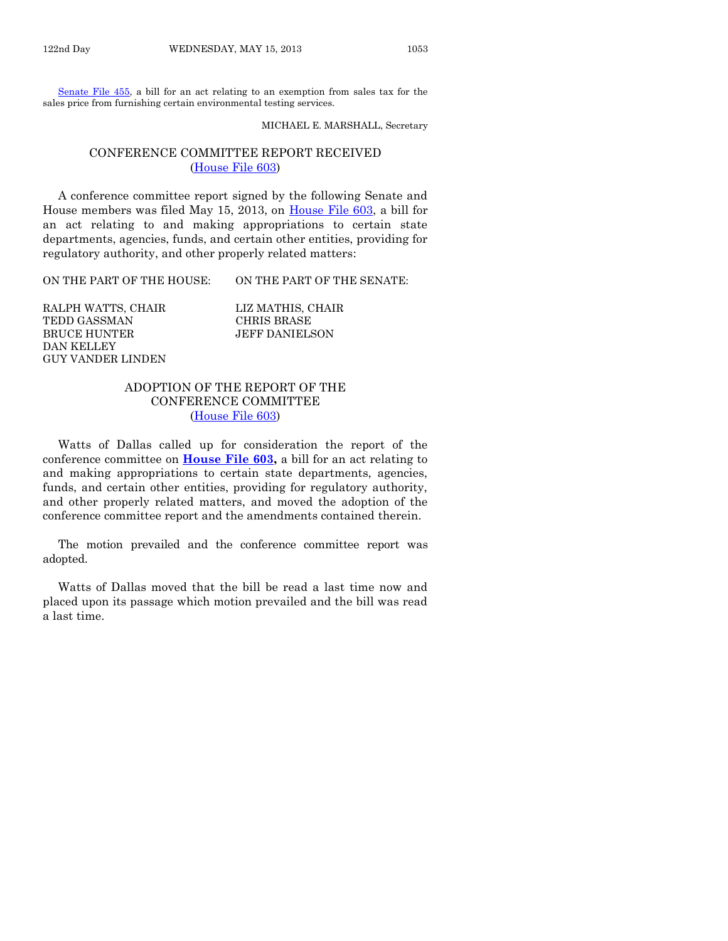[Senate File 455,](http://coolice.legis.state.ia.us/Cool-ICE/default.asp?Category=billinfo&Service=Billbook&frame=1&GA=85&hbill=SF455) a bill for an act relating to an exemption from sales tax for the sales price from furnishing certain environmental testing services.

MICHAEL E. MARSHALL, Secretary

**CHAIR** 

#### CONFERENCE COMMITTEE REPORT RECEIVED [\(House File 603\)](http://coolice.legis.state.ia.us/Cool-ICE/default.asp?Category=billinfo&Service=Billbook&frame=1&GA=85&hbill=HF603)

A conference committee report signed by the following Senate and House members was filed May 15, 2013, on [House File 603,](http://coolice.legis.state.ia.us/Cool-ICE/default.asp?Category=billinfo&Service=Billbook&frame=1&GA=85&hbill=HF603) a bill for an act relating to and making appropriations to certain state departments, agencies, funds, and certain other entities, providing for regulatory authority, and other properly related matters:

ON THE PART OF THE HOUSE: ON THE PART OF THE SENATE:

| RALPH WATTS, CHAIR | LIZ MATHIS, CHAI      |
|--------------------|-----------------------|
| TEDD GASSMAN       | CHRIS BRASE           |
| BRUCE HUNTER       | <b>JEFF DANIELSON</b> |
| DAN KELLEY         |                       |
| GUY VANDER LINDEN  |                       |

# ADOPTION OF THE REPORT OF THE CONFERENCE COMMITTEE [\(House File 603\)](http://coolice.legis.state.ia.us/Cool-ICE/default.asp?Category=billinfo&Service=Billbook&frame=1&GA=85&hbill=HF603)

Watts of Dallas called up for consideration the report of the conference committee on **[House File 603,](http://coolice.legis.state.ia.us/Cool-ICE/default.asp?Category=billinfo&Service=Billbook&frame=1&GA=85&hbill=HF603)** a bill for an act relating to and making appropriations to certain state departments, agencies, funds, and certain other entities, providing for regulatory authority, and other properly related matters, and moved the adoption of the conference committee report and the amendments contained therein.

The motion prevailed and the conference committee report was adopted.

Watts of Dallas moved that the bill be read a last time now and placed upon its passage which motion prevailed and the bill was read a last time.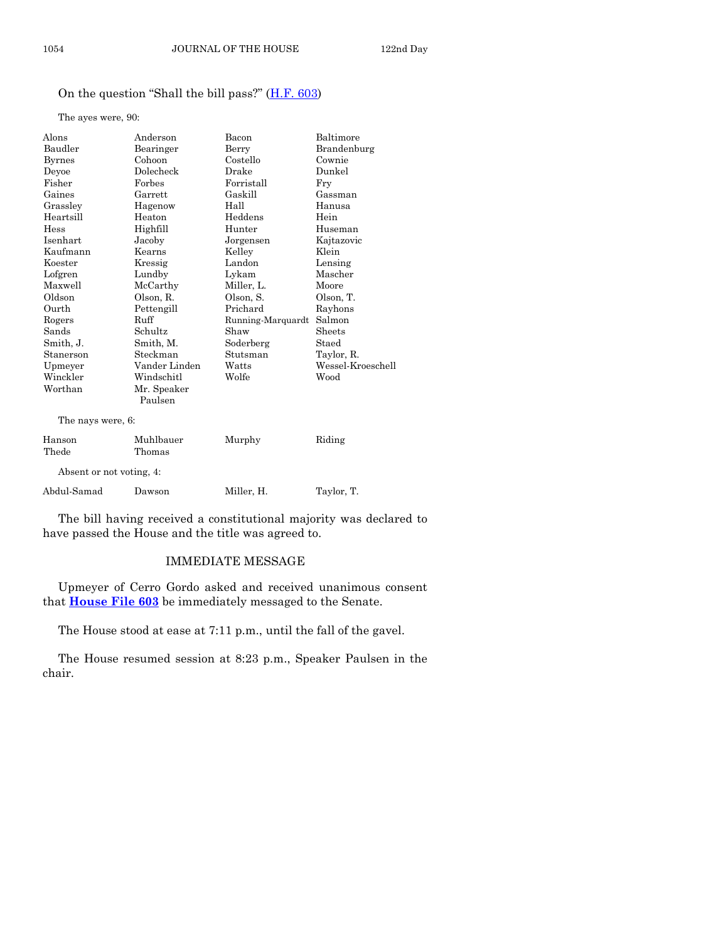# On the question "Shall the bill pass?" ([H.F. 603\)](http://coolice.legis.state.ia.us/Cool-ICE/default.asp?Category=billinfo&Service=Billbook&frame=1&GA=85&hbill=HF603)

The ayes were, 90:

| Alons                    | Anderson      | Bacon             | Baltimore         |
|--------------------------|---------------|-------------------|-------------------|
| Baudler                  | Bearinger     | Berry             | Brandenburg       |
| <b>Byrnes</b>            | Cohoon        | Costello          | Cownie            |
| Deyoe                    | Dolecheck     | Drake             | Dunkel            |
| Fisher                   | Forbes        | Forristall        | Fry               |
| Gaines                   | Garrett       | Gaskill           | Gassman           |
| Grassley                 | Hagenow       | Hall              | Hanusa            |
| Heartsill                | Heaton        | Heddens           | Hein              |
| Hess                     | Highfill      | Hunter            | Huseman           |
| Isenhart                 | Jacoby        | Jorgensen         | Kajtazovic        |
| Kaufmann                 | Kearns        | Kelley            | Klein             |
| Koester                  | Kressig       | Landon            | Lensing           |
| Lofgren                  | Lundby        | Lykam             | Mascher           |
| Maxwell                  | McCarthy      | Miller, L.        | Moore             |
| Oldson                   | Olson, R.     | Olson. S.         | Olson, T.         |
| Ourth                    | Pettengill    | Prichard          | Rayhons           |
| Rogers                   | Ruff          | Running-Marquardt | Salmon            |
| Sands                    | Schultz       | Shaw              | Sheets            |
| Smith, J.                | Smith, M.     | Soderberg         | Staed             |
| Stanerson                | Steckman      | Stutsman          | Taylor, R.        |
| Upmeyer                  | Vander Linden | Watts             | Wessel-Kroeschell |
| Winckler                 | Windschitl    | Wolfe             | Wood              |
| Worthan                  | Mr. Speaker   |                   |                   |
|                          | Paulsen       |                   |                   |
| The nays were, 6:        |               |                   |                   |
| Hanson                   | Muhlbauer     | Murphy            | Riding            |
| Thede                    | Thomas        |                   |                   |
| Absent or not voting, 4: |               |                   |                   |
| Abdul-Samad              | Dawson        | Miller. H.        | Taylor, T.        |

The bill having received a constitutional majority was declared to have passed the House and the title was agreed to.

# IMMEDIATE MESSAGE

Upmeyer of Cerro Gordo asked and received unanimous consent that **[House File 603](http://coolice.legis.state.ia.us/Cool-ICE/default.asp?Category=billinfo&Service=Billbook&frame=1&GA=85&hbill=HF603)** be immediately messaged to the Senate.

The House stood at ease at 7:11 p.m., until the fall of the gavel.

The House resumed session at 8:23 p.m., Speaker Paulsen in the chair.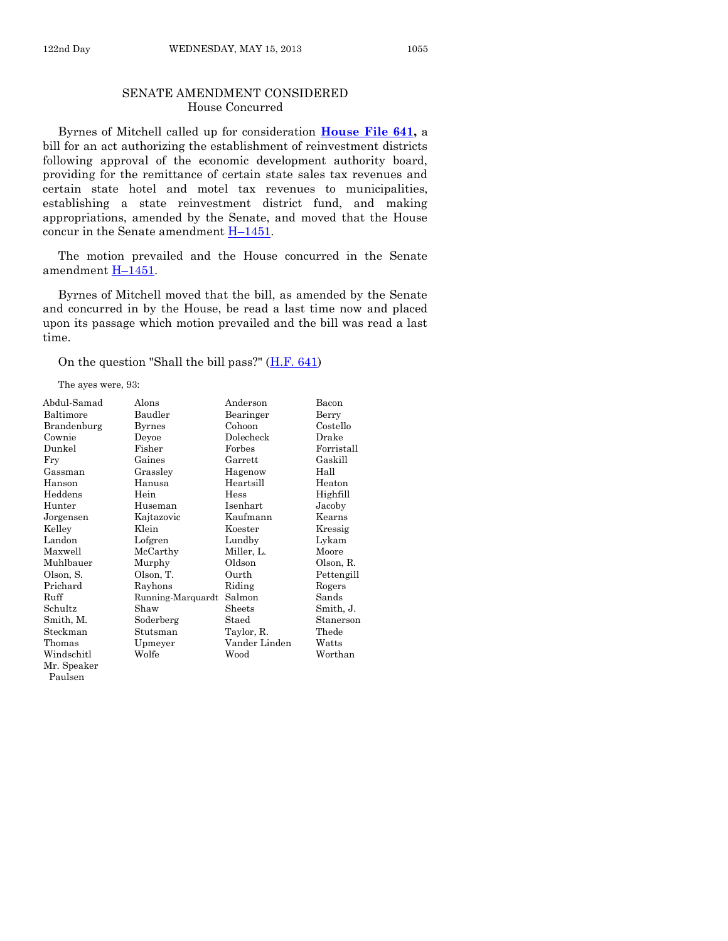#### SENATE AMENDMENT CONSIDERED House Concurred

Byrnes of Mitchell called up for consideration **[House File 641,](http://coolice.legis.state.ia.us/Cool-ICE/default.asp?Category=billinfo&Service=Billbook&frame=1&GA=85&hbill=HF641)** a bill for an act authorizing the establishment of reinvestment districts following approval of the economic development authority board, providing for the remittance of certain state sales tax revenues and certain state hotel and motel tax revenues to municipalities, establishing a state reinvestment district fund, and making appropriations, amended by the Senate, and moved that the House concur in the Senate amendment H–[1451.](http://coolice.legis.state.ia.us/Cool-ICE/default.asp?Category=billinfo&Service=Billbook&frame=1&GA=85&hbill=H1451)

The motion prevailed and the House concurred in the Senate amendment H–[1451.](http://coolice.legis.state.ia.us/Cool-ICE/default.asp?Category=billinfo&Service=Billbook&frame=1&GA=85&hbill=H1451)

Byrnes of Mitchell moved that the bill, as amended by the Senate and concurred in by the House, be read a last time now and placed upon its passage which motion prevailed and the bill was read a last time.

On the question "Shall the bill pass?"  $(H.F. 641)$ 

The ayes were, 93:

| Abdul-Samad | Alons             | Anderson       | Bacon      |
|-------------|-------------------|----------------|------------|
| Baltimore   | Baudler           | Bearinger      | Berry      |
| Brandenburg | Byrnes            | Cohoon         | Costello   |
| Cownie      | Deyoe             | Dolecheck      | Drake      |
| Dunkel      | Fisher            | Forbes         | Forristall |
| Fry         | Gaines            | $\rm{Garrett}$ | Gaskill    |
| Gassman     | Grassley          | Hagenow        | Hall       |
| Hanson      | Hanusa            | Heartsill      | Heaton     |
| Heddens     | Hein              | Hess           | Highfill   |
| Hunter      | Huseman           | Isenhart       | Jacoby     |
| Jorgensen   | Kajtazovic        | Kaufmann       | Kearns     |
| Kelley      | Klein             | Koester        | Kressig    |
| Landon      | Lofgren           | Lundby         | Lykam      |
| Maxwell     | McCarthy          | Miller, L.     | Moore      |
| Muhlbauer   | Murphy            | Oldson         | Olson, R.  |
| Olson, S.   | Olson, T.         | Ourth          | Pettengill |
| Prichard    | Rayhons           | Riding         | Rogers     |
| Ruff        | Running-Marquardt | Salmon         | Sands      |
| Schultz     | Shaw              | Sheets         | Smith, J.  |
| Smith, M.   | Soderberg         | Staed          | Stanerson  |
| Steckman    | Stutsman          | Taylor, R.     | Thede      |
| Thomas      | Upmeyer           | Vander Linden  | Watts      |
| Windschitl  | Wolfe             | Wood           | Worthan    |
| Mr. Spooker |                   |                |            |

Mr. Speaker Paulsen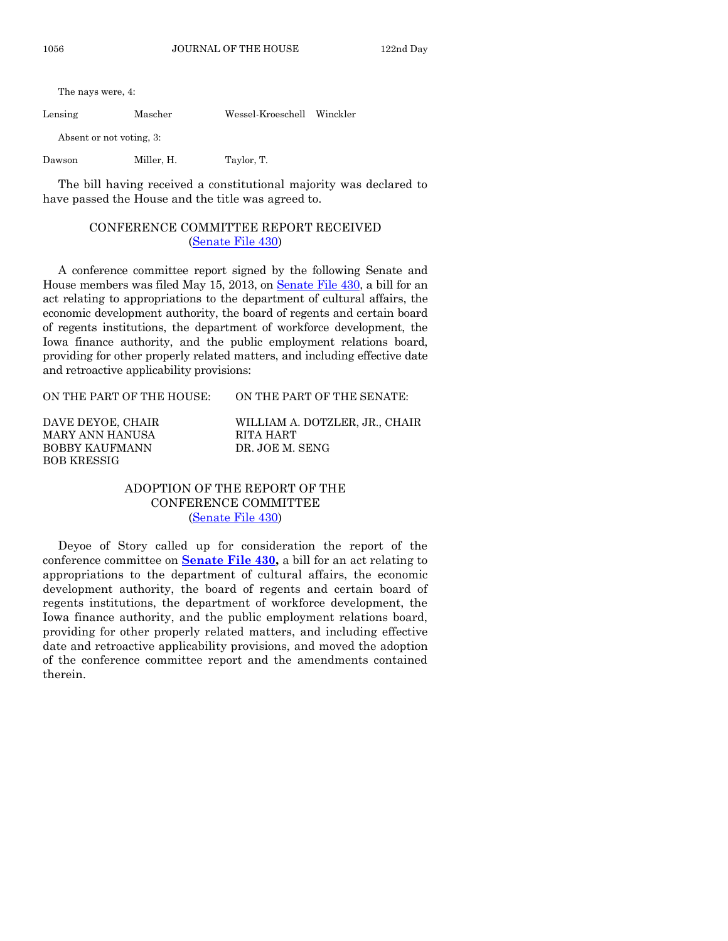The nays were, 4:

Lensing Mascher Wessel-Kroeschell Winckler

Absent or not voting, 3:

Dawson Miller, H. Taylor, T.

The bill having received a constitutional majority was declared to have passed the House and the title was agreed to.

# CONFERENCE COMMITTEE REPORT RECEIVED [\(Senate File 430\)](http://coolice.legis.state.ia.us/Cool-ICE/default.asp?Category=billinfo&Service=Billbook&frame=1&GA=85&hbill=SF430)

A conference committee report signed by the following Senate and House members was filed May 15, 2013, on [Senate File 430,](http://coolice.legis.state.ia.us/Cool-ICE/default.asp?Category=billinfo&Service=Billbook&frame=1&GA=85&hbill=SF430) a bill for an act relating to appropriations to the department of cultural affairs, the economic development authority, the board of regents and certain board of regents institutions, the department of workforce development, the Iowa finance authority, and the public employment relations board, providing for other properly related matters, and including effective date and retroactive applicability provisions:

ON THE PART OF THE HOUSE: ON THE PART OF THE SENATE:

MARY ANN HANUSA RITA HART BOBBY KAUFMANN DR. JOE M. SENG BOB KRESSIG

DAVE DEYOE, CHAIR WILLIAM A. DOTZLER, JR., CHAIR

# ADOPTION OF THE REPORT OF THE CONFERENCE COMMITTEE [\(Senate File 430\)](http://coolice.legis.state.ia.us/Cool-ICE/default.asp?Category=billinfo&Service=Billbook&frame=1&GA=85&hbill=SF430)

Deyoe of Story called up for consideration the report of the conference committee on **[Senate File 430,](http://coolice.legis.state.ia.us/Cool-ICE/default.asp?Category=billinfo&Service=Billbook&frame=1&GA=85&hbill=SF430)** a bill for an act relating to appropriations to the department of cultural affairs, the economic development authority, the board of regents and certain board of regents institutions, the department of workforce development, the Iowa finance authority, and the public employment relations board, providing for other properly related matters, and including effective date and retroactive applicability provisions, and moved the adoption of the conference committee report and the amendments contained therein.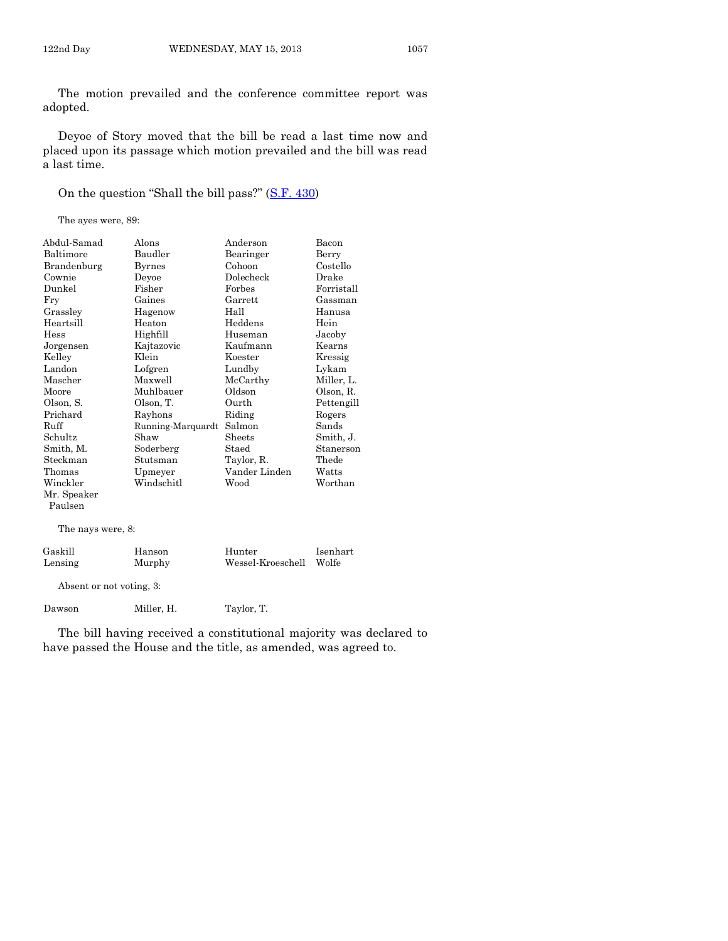The motion prevailed and the conference committee report was adopted.

Deyoe of Story moved that the bill be read a last time now and placed upon its passage which motion prevailed and the bill was read a last time.

On the question "Shall the bill pass?" ([S.F. 430\)](http://coolice.legis.state.ia.us/Cool-ICE/default.asp?Category=billinfo&Service=Billbook&frame=1&GA=85&hbill=SF430)

The ayes were, 89:

| Abdul-Samad       | Alons             | Anderson          | Bacon      |
|-------------------|-------------------|-------------------|------------|
| Baltimore         | Baudler           | Bearinger         | Berry      |
| Brandenburg       | <b>Byrnes</b>     | Cohoon            | Costello   |
| Cownie            | Devoe             | Dolecheck         | Drake      |
| Dunkel            | Fisher            | Forbes            | Forristall |
| Fry               | Gaines            | Garrett           | Gassman    |
| Grasslev          | Hagenow           | Hall              | Hanusa     |
| Heartsill         | Heaton            | Heddens           | Hein       |
| Hess              | Highfill          | Huseman           | Jacoby     |
| Jorgensen         | Kajtazovic        | Kaufmann          | Kearns     |
| Kelley            | Klein             | Koester           | Kressig    |
| Landon            | Lofgren           | Lundby            | Lykam      |
| Mascher           | Maxwell           | McCarthy          | Miller, L. |
| Moore             | Muhlbauer         | Oldson            | Olson, R.  |
| Olson, S.         | Olson, T.         | Ourth             | Pettengill |
| Prichard          | Rayhons           | Riding            | Rogers     |
| Ruff              | Running-Marquardt | Salmon            | Sands      |
| Schultz           | Shaw              | Sheets            | Smith, J.  |
| Smith, M.         | Soderberg         | Staed             | Stanerson  |
| Steckman          | Stutsman          | Taylor, R.        | Thede      |
| Thomas            | Upmeyer           | Vander Linden     | Watts      |
| Winckler          | Windschitl        | Wood              | Worthan    |
| Mr. Speaker       |                   |                   |            |
| Paulsen           |                   |                   |            |
|                   |                   |                   |            |
| The nays were, 8: |                   |                   |            |
| Gaskill           | Hanson            | Hunter            | Isenhart   |
| Lensing           | Murphy            | Wessel-Kroeschell | Wolfe      |
|                   |                   |                   |            |

Absent or not voting, 3:

Dawson Miller, H. Taylor, T.

The bill having received a constitutional majority was declared to have passed the House and the title, as amended, was agreed to.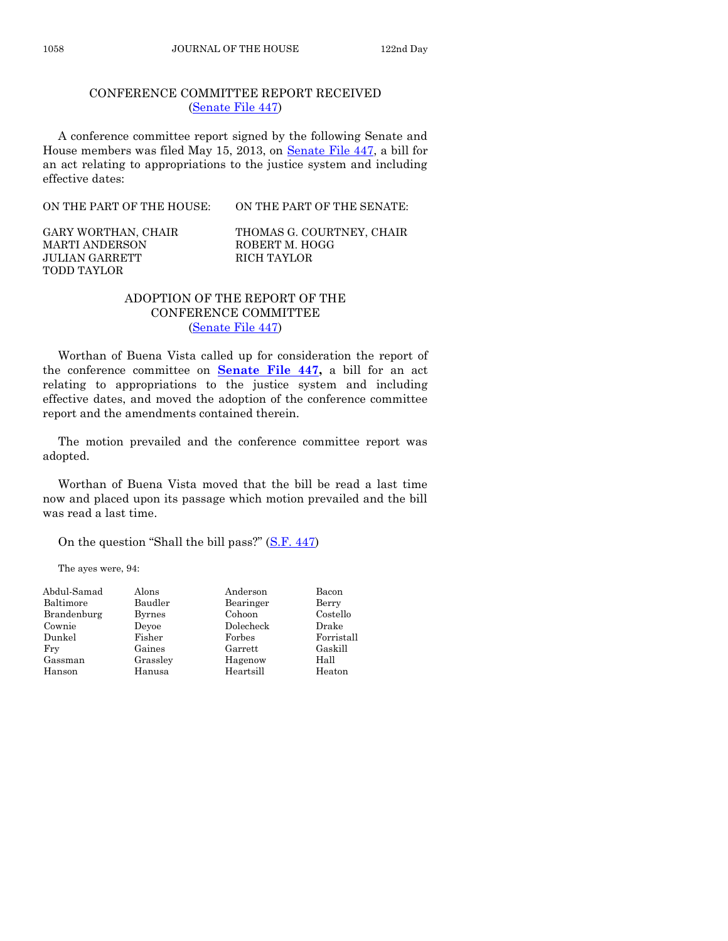A conference committee report signed by the following Senate and House members was filed May 15, 2013, on [Senate File 447,](http://coolice.legis.state.ia.us/Cool-ICE/default.asp?Category=billinfo&Service=Billbook&frame=1&GA=85&hbill=SF447) a bill for an act relating to appropriations to the justice system and including effective dates:

CONFERENCE COMMITTEE REPORT RECEIVED [\(Senate File 447\)](http://coolice.legis.state.ia.us/Cool-ICE/default.asp?Category=billinfo&Service=Billbook&frame=1&GA=85&hbill=SF447)

ON THE PART OF THE HOUSE: ON THE PART OF THE SENATE:

MARTI ANDERSON ROBERT M. HOGG JULIAN GARRETT RICH TAYLOR TODD TAYLOR

GARY WORTHAN, CHAIR THOMAS G. COURTNEY, CHAIR

# ADOPTION OF THE REPORT OF THE CONFERENCE COMMITTEE [\(Senate File 447\)](http://coolice.legis.state.ia.us/Cool-ICE/default.asp?Category=billinfo&Service=Billbook&frame=1&GA=85&hbill=SF447)

Worthan of Buena Vista called up for consideration the report of the conference committee on **[Senate File 447,](http://coolice.legis.state.ia.us/Cool-ICE/default.asp?Category=billinfo&Service=Billbook&frame=1&GA=85&hbill=SF447)** a bill for an act relating to appropriations to the justice system and including effective dates, and moved the adoption of the conference committee report and the amendments contained therein.

The motion prevailed and the conference committee report was adopted.

Worthan of Buena Vista moved that the bill be read a last time now and placed upon its passage which motion prevailed and the bill was read a last time.

On the question "Shall the bill pass?" ([S.F. 447\)](http://coolice.legis.state.ia.us/Cool-ICE/default.asp?Category=billinfo&Service=Billbook&frame=1&GA=85&hbill=SF447)

The ayes were, 94:

| Abdul-Samad | Alons         | Anderson  | Bacon      |
|-------------|---------------|-----------|------------|
| Baltimore   | Baudler       | Bearinger | Berry      |
| Brandenburg | <b>Byrnes</b> | Cohoon    | Costello   |
| Cownie      | Devoe         | Dolecheck | Drake      |
| Dunkel      | Fisher        | Forbes    | Forristall |
| Fry         | Gaines        | Garrett   | Gaskill    |
| Gassman     | Grassley      | Hagenow   | Hall       |
| Hanson      | Hanusa        | Heartsill | Heaton     |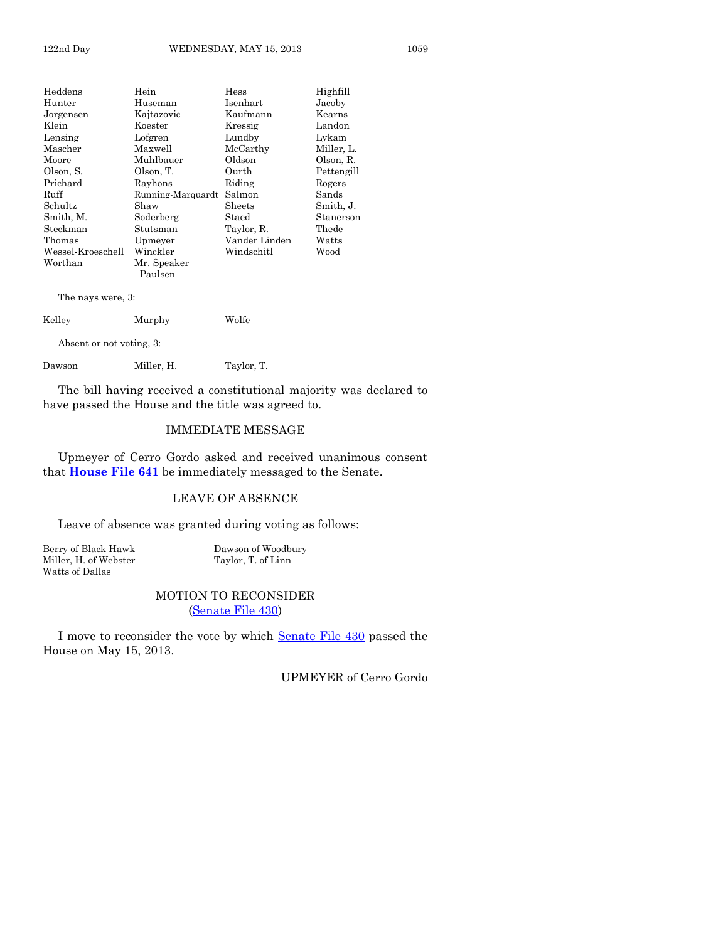| Heddens                  | Hein              | Hess          | Highfill   |  |
|--------------------------|-------------------|---------------|------------|--|
| Hunter                   | Huseman           | Isenhart      | Jacoby     |  |
| Jorgensen                | Kajtazovic        | Kaufmann      | Kearns     |  |
| Klein                    | Koester           | Kressig       | Landon     |  |
| Lensing                  | Lofgren           | Lundby        | Lykam      |  |
| Mascher                  | Maxwell           | McCarthy      | Miller, L. |  |
| Moore                    | Muhlbauer         | Oldson        | Olson, R.  |  |
| Olson, S.                | Olson, T.         | Ourth         | Pettengill |  |
| Prichard                 | Rayhons           | Riding        | Rogers     |  |
| Ruff                     | Running-Marquardt | Salmon        | Sands      |  |
| Schultz                  | Shaw              | Sheets        | Smith, J.  |  |
| Smith, M.                | Soderberg         | Staed         | Stanerson  |  |
| Steckman                 | Stutsman          | Taylor, R.    | Thede      |  |
| Thomas                   | Upmeyer           | Vander Linden | Watts      |  |
| Wessel-Kroeschell        | Winckler          | Windschitl    | Wood       |  |
| Worthan<br>Mr. Speaker   |                   |               |            |  |
|                          | Paulsen           |               |            |  |
| The nays were, 3:        |                   |               |            |  |
| Kelley<br>Murphy         |                   | Wolfe         |            |  |
| Absent or not voting, 3: |                   |               |            |  |
| Dawson                   | Miller, H.        | Taylor, T.    |            |  |

The bill having received a constitutional majority was declared to have passed the House and the title was agreed to.

#### IMMEDIATE MESSAGE

Upmeyer of Cerro Gordo asked and received unanimous consent that **[House File 641](http://coolice.legis.state.ia.us/Cool-ICE/default.asp?Category=billinfo&Service=Billbook&frame=1&GA=85&hbill=HF641)** be immediately messaged to the Senate.

# LEAVE OF ABSENCE

Leave of absence was granted during voting as follows:

Miller, H. of Webster Watts of Dallas

Berry of Black Hawk Dawson of Woodbury<br>Miller, H. of Webster Taylor, T. of Linn

#### MOTION TO RECONSIDER [\(Senate File 430\)](http://coolice.legis.state.ia.us/Cool-ICE/default.asp?Category=billinfo&Service=Billbook&frame=1&GA=85&hbill=SF430)

I move to reconsider the vote by which [Senate File 430](http://coolice.legis.state.ia.us/Cool-ICE/default.asp?Category=billinfo&Service=Billbook&frame=1&GA=85&hbill=SF430) passed the House on May 15, 2013.

UPMEYER of Cerro Gordo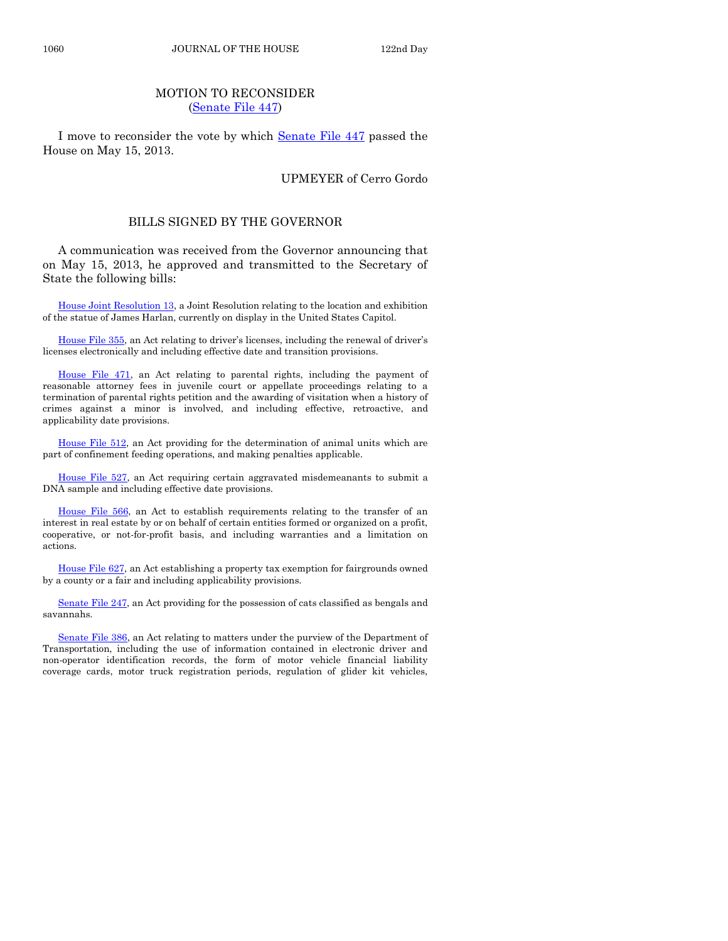# MOTION TO RECONSIDER [\(Senate File 447\)](http://coolice.legis.state.ia.us/Cool-ICE/default.asp?Category=billinfo&Service=Billbook&frame=1&GA=85&hbill=SF447)

I move to reconsider the vote by which [Senate File 447](http://coolice.legis.state.ia.us/Cool-ICE/default.asp?Category=billinfo&Service=Billbook&frame=1&GA=85&hbill=SF447) passed the House on May 15, 2013.

#### UPMEYER of Cerro Gordo

#### BILLS SIGNED BY THE GOVERNOR

A communication was received from the Governor announcing that on May 15, 2013, he approved and transmitted to the Secretary of State the following bills:

[House Joint Resolution 13,](http://coolice.legis.state.ia.us/Cool-ICE/default.asp?Category=billinfo&Service=Billbook&frame=1&GA=85&hbill=HJR13) a Joint Resolution relating to the location and exhibition of the statue of James Harlan, currently on display in the United States Capitol.

[House File 355](http://coolice.legis.state.ia.us/Cool-ICE/default.asp?Category=billinfo&Service=Billbook&frame=1&GA=85&hbill=HF355), an Act relating to driver's licenses, including the renewal of driver's licenses electronically and including effective date and transition provisions.

[House File 471,](http://coolice.legis.state.ia.us/Cool-ICE/default.asp?Category=billinfo&Service=Billbook&frame=1&GA=85&hbill=HF471) an Act relating to parental rights, including the payment of reasonable attorney fees in juvenile court or appellate proceedings relating to a termination of parental rights petition and the awarding of visitation when a history of crimes against a minor is involved, and including effective, retroactive, and applicability date provisions.

[House File 512,](http://coolice.legis.state.ia.us/Cool-ICE/default.asp?Category=billinfo&Service=Billbook&frame=1&GA=85&hbill=HF512) an Act providing for the determination of animal units which are part of confinement feeding operations, and making penalties applicable.

[House File 527,](http://coolice.legis.state.ia.us/Cool-ICE/default.asp?Category=billinfo&Service=Billbook&frame=1&GA=85&hbill=HF527) an Act requiring certain aggravated misdemeanants to submit a DNA sample and including effective date provisions.

[House File 566,](http://coolice.legis.state.ia.us/Cool-ICE/default.asp?Category=billinfo&Service=Billbook&frame=1&GA=85&hbill=HF566) an Act to establish requirements relating to the transfer of an interest in real estate by or on behalf of certain entities formed or organized on a profit, cooperative, or not-for-profit basis, and including warranties and a limitation on actions.

[House File 627,](http://coolice.legis.state.ia.us/Cool-ICE/default.asp?Category=billinfo&Service=Billbook&frame=1&GA=85&hbill=HF627) an Act establishing a property tax exemption for fairgrounds owned by a county or a fair and including applicability provisions.

[Senate File 247,](http://coolice.legis.state.ia.us/Cool-ICE/default.asp?Category=billinfo&Service=Billbook&frame=1&GA=85&hbill=SF247) an Act providing for the possession of cats classified as bengals and savannahs.

[Senate File 386,](http://coolice.legis.state.ia.us/Cool-ICE/default.asp?Category=billinfo&Service=Billbook&frame=1&GA=85&hbill=SF386) an Act relating to matters under the purview of the Department of Transportation, including the use of information contained in electronic driver and non-operator identification records, the form of motor vehicle financial liability coverage cards, motor truck registration periods, regulation of glider kit vehicles,